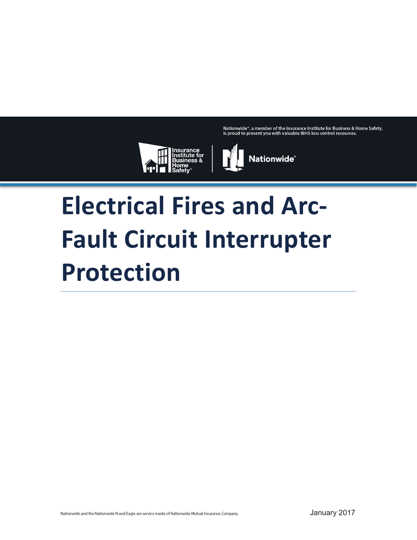Nationwide®, a member of the Insurance Institute for Business & Home Safety, is proud to present you with valuable IBHS loss control resources.





# **Electrical Fires and Arc-Fault Circuit Interrupter Protection**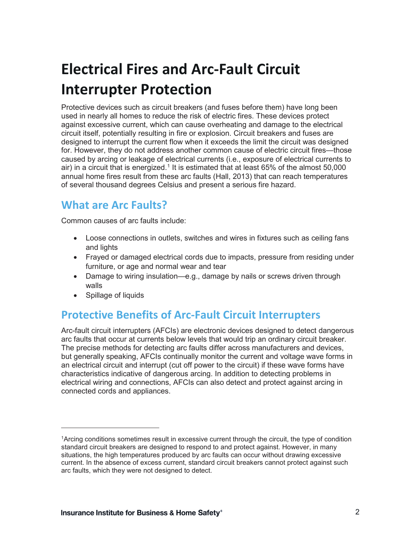## **Electrical Fires and Arc-Fault Circuit Interrupter Protection**

Protective devices such as circuit breakers (and fuses before them) have long been used in nearly all homes to reduce the risk of electric fires. These devices protect against excessive current, which can cause overheating and damage to the electrical circuit itself, potentially resulting in fire or explosion. Circuit breakers and fuses are designed to interrupt the current flow when it exceeds the limit the circuit was designed for. However, they do not address another common cause of electric circuit fires—those caused by arcing or leakage of electrical currents (i.e., exposure of electrical currents to air) in a circuit that is energized.<sup>1</sup> It is estimated that at least 65% of the almost 50,000 annual home fires result from these arc faults (Hall, 2013) that can reach temperatures of several thousand degrees Celsius and present a serious fire hazard.

#### **What are Arc Faults?**

Common causes of arc faults include:

- Loose connections in outlets, switches and wires in fixtures such as ceiling fans and lights
- Frayed or damaged electrical cords due to impacts, pressure from residing under furniture, or age and normal wear and tear
- Damage to wiring insulation—e.g., damage by nails or screws driven through walls
- Spillage of liquids

#### **Protective Benefits of Arc-Fault Circuit Interrupters**

Arc-fault circuit interrupters (AFCIs) are electronic devices designed to detect dangerous arc faults that occur at currents below levels that would trip an ordinary circuit breaker. The precise methods for detecting arc faults differ across manufacturers and devices, but generally speaking, AFCIs continually monitor the current and voltage wave forms in an electrical circuit and interrupt (cut off power to the circuit) if these wave forms have characteristics indicative of dangerous arcing. In addition to detecting problems in electrical wiring and connections, AFCIs can also detect and protect against arcing in connected cords and appliances.

<sup>1</sup>Arcing conditions sometimes result in excessive current through the circuit, the type of condition standard circuit breakers are designed to respond to and protect against. However, in many situations, the high temperatures produced by arc faults can occur without drawing excessive current. In the absence of excess current, standard circuit breakers cannot protect against such arc faults, which they were not designed to detect.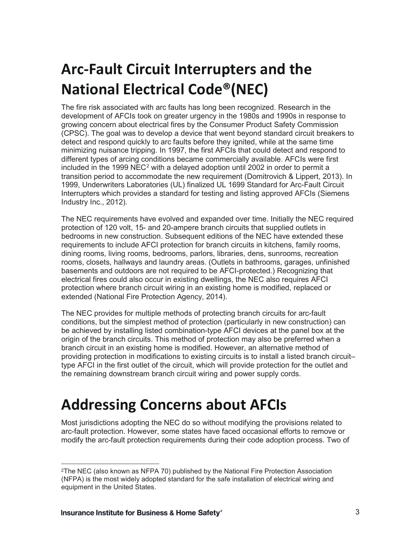## **Arc-Fault Circuit Interrupters and the National Electrical Code®(NEC)**

The fire risk associated with arc faults has long been recognized. Research in the development of AFCIs took on greater urgency in the 1980s and 1990s in response to growing concern about electrical fires by the Consumer Product Safety Commission (CPSC). The goal was to develop a device that went beyond standard circuit breakers to detect and respond quickly to arc faults before they ignited, while at the same time minimizing nuisance tripping. In 1997, the first AFCIs that could detect and respond to different types of arcing conditions became commercially available. AFCIs were first included in the 1999 NEC<sup>2</sup> with a delayed adoption until 2002 in order to permit a transition period to accommodate the new requirement (Domitrovich & Lippert, 2013). In 1999, Underwriters Laboratories (UL) finalized UL 1699 Standard for Arc-Fault Circuit Interrupters which provides a standard for testing and listing approved AFCIs (Siemens Industry Inc., 2012).

The NEC requirements have evolved and expanded over time. Initially the NEC required protection of 120 volt, 15- and 20-ampere branch circuits that supplied outlets in bedrooms in new construction. Subsequent editions of the NEC have extended these requirements to include AFCI protection for branch circuits in kitchens, family rooms, dining rooms, living rooms, bedrooms, parlors, libraries, dens, sunrooms, recreation rooms, closets, hallways and laundry areas. (Outlets in bathrooms, garages, unfinished basements and outdoors are not required to be AFCI-protected.) Recognizing that electrical fires could also occur in existing dwellings, the NEC also requires AFCI protection where branch circuit wiring in an existing home is modified, replaced or extended (National Fire Protection Agency, 2014).

The NEC provides for multiple methods of protecting branch circuits for arc-fault conditions, but the simplest method of protection (particularly in new construction) can be achieved by installing listed combination-type AFCI devices at the panel box at the origin of the branch circuits. This method of protection may also be preferred when a branch circuit in an existing home is modified. However, an alternative method of providing protection in modifications to existing circuits is to install a listed branch circuit– type AFCI in the first outlet of the circuit, which will provide protection for the outlet and the remaining downstream branch circuit wiring and power supply cords.

#### **Addressing Concerns about AFCIs**

Most jurisdictions adopting the NEC do so without modifying the provisions related to arc-fault protection. However, some states have faced occasional efforts to remove or modify the arc-fault protection requirements during their code adoption process. Two of

<sup>2</sup>The NEC (also known as NFPA 70) published by the National Fire Protection Association (NFPA) is the most widely adopted standard for the safe installation of electrical wiring and equipment in the United States.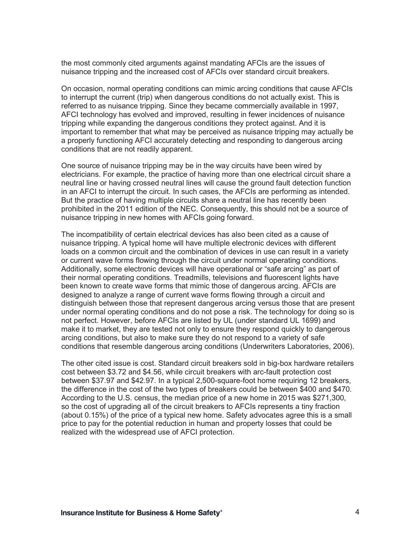the most commonly cited arguments against mandating AFCIs are the issues of nuisance tripping and the increased cost of AFCIs over standard circuit breakers.

On occasion, normal operating conditions can mimic arcing conditions that cause AFCIs to interrupt the current (trip) when dangerous conditions do not actually exist. This is referred to as nuisance tripping. Since they became commercially available in 1997, AFCI technology has evolved and improved, resulting in fewer incidences of nuisance tripping while expanding the dangerous conditions they protect against. And it is important to remember that what may be perceived as nuisance tripping may actually be a properly functioning AFCI accurately detecting and responding to dangerous arcing conditions that are not readily apparent.

One source of nuisance tripping may be in the way circuits have been wired by electricians. For example, the practice of having more than one electrical circuit share a neutral line or having crossed neutral lines will cause the ground fault detection function in an AFCI to interrupt the circuit. In such cases, the AFCIs are performing as intended. But the practice of having multiple circuits share a neutral line has recently been prohibited in the 2011 edition of the NEC. Consequently, this should not be a source of nuisance tripping in new homes with AFCIs going forward.

The incompatibility of certain electrical devices has also been cited as a cause of nuisance tripping. A typical home will have multiple electronic devices with different loads on a common circuit and the combination of devices in use can result in a variety or current wave forms flowing through the circuit under normal operating conditions. Additionally, some electronic devices will have operational or "safe arcing" as part of their normal operating conditions. Treadmills, televisions and fluorescent lights have been known to create wave forms that mimic those of dangerous arcing. AFCIs are designed to analyze a range of current wave forms flowing through a circuit and distinguish between those that represent dangerous arcing versus those that are present under normal operating conditions and do not pose a risk. The technology for doing so is not perfect. However, before AFCIs are listed by UL (under standard UL 1699) and make it to market, they are tested not only to ensure they respond quickly to dangerous arcing conditions, but also to make sure they do not respond to a variety of safe conditions that resemble dangerous arcing conditions (Underwriters Laboratories, 2006).

The other cited issue is cost. Standard circuit breakers sold in big-box hardware retailers cost between \$3.72 and \$4.56, while circuit breakers with arc-fault protection cost between \$37.97 and \$42.97. In a typical 2,500-square-foot home requiring 12 breakers, the difference in the cost of the two types of breakers could be between \$400 and \$470. According to the U.S. census, the median price of a new home in 2015 was \$271,300, so the cost of upgrading all of the circuit breakers to AFCIs represents a tiny fraction (about 0.15%) of the price of a typical new home. Safety advocates agree this is a small price to pay for the potential reduction in human and property losses that could be realized with the widespread use of AFCI protection.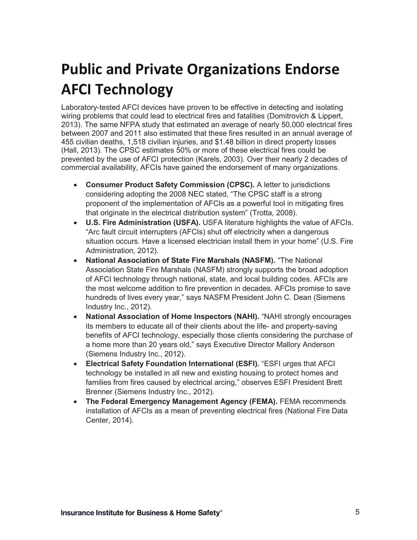## **Public and Private Organizations Endorse AFCI Technology**

Laboratory-tested AFCI devices have proven to be effective in detecting and isolating wiring problems that could lead to electrical fires and fatalities (Domitrovich & Lippert, 2013). The same NFPA study that estimated an average of nearly 50,000 electrical fires between 2007 and 2011 also estimated that these fires resulted in an annual average of 455 civilian deaths, 1,518 civilian injuries, and \$1.48 billion in direct property losses (Hall, 2013). The CPSC estimates 50% or more of these electrical fires could be prevented by the use of AFCI protection (Karels, 2003). Over their nearly 2 decades of commercial availability, AFCIs have gained the endorsement of many organizations.

- **Consumer Product Safety Commission (CPSC).** A letter to jurisdictions considering adopting the 2008 NEC stated, "The CPSC staff is a strong proponent of the implementation of AFCIs as a powerful tool in mitigating fires that originate in the electrical distribution system" (Trotta, 2008).
- **U.S. Fire Administration (USFA).** USFA literature highlights the value of AFCIs. "Arc fault circuit interrupters (AFCIs) shut off electricity when a dangerous situation occurs. Have a licensed electrician install them in your home" (U.S. Fire Administration, 2012).
- **National Association of State Fire Marshals (NASFM).** "The National Association State Fire Marshals (NASFM) strongly supports the broad adoption of AFCI technology through national, state, and local building codes. AFCIs are the most welcome addition to fire prevention in decades. AFCIs promise to save hundreds of lives every year," says NASFM President John C. Dean (Siemens Industry Inc., 2012).
- National Association of Home Inspectors (NAHI). "NAHI strongly encourages its members to educate all of their clients about the life- and property-saving benefits of AFCI technology, especially those clients considering the purchase of a home more than 20 years old," says Executive Director Mallory Anderson (Siemens Industry Inc., 2012).
- **Electrical Safety Foundation International (ESFI).** "ESFI urges that AFCI technology be installed in all new and existing housing to protect homes and families from fires caused by electrical arcing," observes ESFI President Brett Brenner (Siemens Industry Inc., 2012).
- **The Federal Emergency Management Agency (FEMA).** FEMA recommends installation of AFCIs as a mean of preventing electrical fires (National Fire Data Center, 2014).